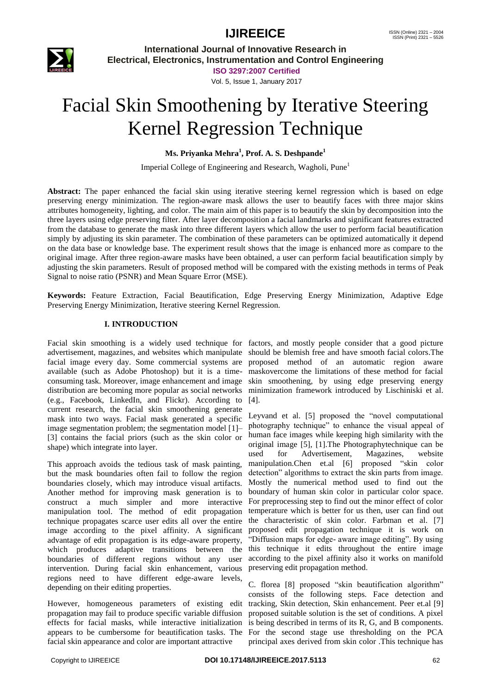

**International Journal of Innovative Research in Electrical, Electronics, Instrumentation and Control Engineering**

**ISO 3297:2007 Certified**

#### Vol. 5, Issue 1, January 2017

# Facial Skin Smoothening by Iterative Steering Kernel Regression Technique

#### **Ms. Priyanka Mehra<sup>1</sup> , Prof. A. S. Deshpande<sup>1</sup>**

Imperial College of Engineering and Research, Wagholi, Pune<sup>1</sup>

**Abstract:** The paper enhanced the facial skin using iterative steering kernel regression which is based on edge preserving energy minimization. The region-aware mask allows the user to beautify faces with three major skins attributes homogeneity, lighting, and color. The main aim of this paper is to beautify the skin by decomposition into the three layers using edge preserving filter. After layer decomposition a facial landmarks and significant features extracted from the database to generate the mask into three different layers which allow the user to perform facial beautification simply by adjusting its skin parameter. The combination of these parameters can be optimized automatically it depend on the data base or knowledge base. The experiment result shows that the image is enhanced more as compare to the original image. After three region-aware masks have been obtained, a user can perform facial beautification simply by adjusting the skin parameters. Result of proposed method will be compared with the existing methods in terms of Peak Signal to noise ratio (PSNR) and Mean Square Error (MSE).

**Keywords:** Feature Extraction, Facial Beautification, Edge Preserving Energy Minimization, Adaptive Edge Preserving Energy Minimization, Iterative steering Kernel Regression.

#### **I. INTRODUCTION**

Facial skin smoothing is a widely used technique for factors, and mostly people consider that a good picture advertisement, magazines, and websites which manipulate should be blemish free and have smooth facial colors.The facial image every day. Some commercial systems are proposed method of an automatic region aware available (such as Adobe Photoshop) but it is a time-maskovercome the limitations of these method for facial consuming task. Moreover, image enhancement and image skin smoothening, by using edge preserving energy distribution are becoming more popular as social networks minimization framework introduced by Lischiniski et al. (e.g., Facebook, LinkedIn, and Flickr). According to [4]. current research, the facial skin smoothening generate mask into two ways. Facial mask generated a specific image segmentation problem; the segmentation model [1]– [3] contains the facial priors (such as the skin color or shape) which integrate into layer.

This approach avoids the tedious task of mask painting, but the mask boundaries often fail to follow the region boundaries closely, which may introduce visual artifacts. Another method for improving mask generation is to construct a much simpler and more interactive manipulation tool. The method of edit propagation technique propagates scarce user edits all over the entire image according to the pixel affinity. A significant advantage of edit propagation is its edge-aware property, which produces adaptive transitions between the boundaries of different regions without any user intervention. During facial skin enhancement, various regions need to have different edge-aware levels, depending on their editing properties.

However, homogeneous parameters of existing edit tracking, Skin detection, Skin enhancement. Peer et.al [9] propagation may fail to produce specific variable diffusion effects for facial masks, while interactive initialization is being described in terms of its R, G, and B components. appears to be cumbersome for beautification tasks. The For the second stage use thresholding on the PCA facial skin appearance and color are important attractive

Leyvand et al. [5] proposed the "novel computational photography technique" to enhance the visual appeal of human face images while keeping high similarity with the original image [5], [1].The Photographytechnique can be used for Advertisement, Magazines, website manipulation.Chen et.al [6] proposed "skin color detection" algorithms to extract the skin parts from image. Mostly the numerical method used to find out the boundary of human skin color in particular color space. For preprocessing step to find out the minor effect of color temperature which is better for us then, user can find out the characteristic of skin color. Farbman et al. [7] proposed edit propagation technique it is work on "Diffusion maps for edge- aware image editing". By using this technique it edits throughout the entire image according to the pixel affinity also it works on manifold preserving edit propagation method.

C. florea [8] proposed "skin beautification algorithm" consists of the following steps. Face detection and proposed suitable solution is the set of conditions. A pixel principal axes derived from skin color .This technique has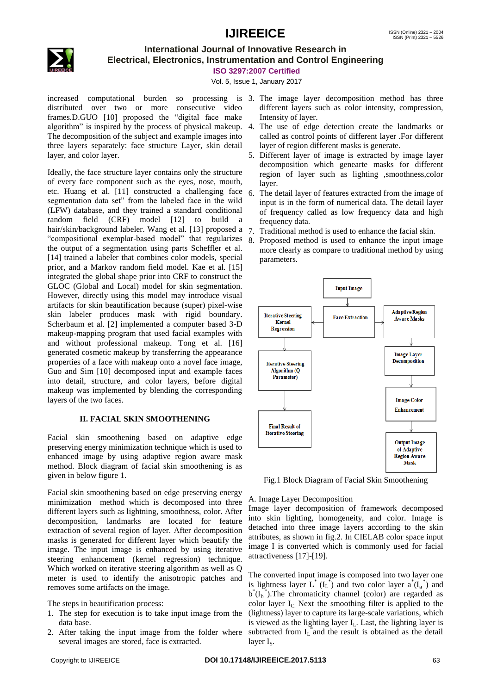

### **International Journal of Innovative Research in Electrical, Electronics, Instrumentation and Control Engineering**

**ISO 3297:2007 Certified**

Vol. 5, Issue 1, January 2017

increased computational burden so processing is 3. The image layer decomposition method has three distributed over two or more consecutive video frames.D.GUO [10] proposed the "digital face make algorithm" is inspired by the process of physical makeup. The decomposition of the subject and example images into three layers separately: face structure Layer, skin detail layer, and color layer.

Ideally, the face structure layer contains only the structure of every face component such as the eyes, nose, mouth, etc. Huang et al. [11] constructed a challenging face segmentation data set" from the labeled face in the wild (LFW) database, and they trained a standard conditional random field (CRF) model [12] to build a hair/skin/background labeler. Wang et al. [13] proposed a "compositional exemplar-based model" that regularizes the output of a segmentation using parts Scheffler et al. [14] trained a labeler that combines color models, special prior, and a Markov random field model. Kae et al. [15] integrated the global shape prior into CRF to construct the GLOC (Global and Local) model for skin segmentation. However, directly using this model may introduce visual artifacts for skin beautification because (super) pixel-wise skin labeler produces mask with rigid boundary. Scherbaum et al. [2] implemented a computer based 3-D makeup-mapping program that used facial examples with and without professional makeup. Tong et al. [16] generated cosmetic makeup by transferring the appearance properties of a face with makeup onto a novel face image, Guo and Sim [10] decomposed input and example faces into detail, structure, and color layers, before digital makeup was implemented by blending the corresponding layers of the two faces.

#### **II. FACIAL SKIN SMOOTHENING**

Facial skin smoothening based on adaptive edge preserving energy minimization technique which is used to enhanced image by using adaptive region aware mask method. Block diagram of facial skin smoothening is as given in below figure 1.

Facial skin smoothening based on edge preserving energy minimization method which is decomposed into three different layers such as lightning, smoothness, color. After decomposition, landmarks are located for feature extraction of several region of layer. After decomposition masks is generated for different layer which beautify the image. The input image is enhanced by using iterative steering enhancement (kernel regression) technique. Which worked on iterative steering algorithm as well as Q meter is used to identify the anisotropic patches and removes some artifacts on the image.

The steps in beautification process:

- 1. The step for execution is to take input image from the data base.
- 2. After taking the input image from the folder where several images are stored, face is extracted.
- different layers such as color intensity, compression, Intensity of layer.
- 4. The use of edge detection create the landmarks or called as control points of different layer .For different layer of region different masks is generate.
- 5. Different layer of image is extracted by image layer decomposition which genearte masks for different region of layer such as lighting ,smoothness,color layer.
- 6. The detail layer of features extracted from the image of input is in the form of numerical data. The detail layer of frequency called as low frequency data and high frequency data.
- 7. Traditional method is used to enhance the facial skin.
- 8. Proposed method is used to enhance the input image more clearly as compare to traditional method by using parameters.



Fig.1 Block Diagram of Facial Skin Smoothening

#### A. Image Layer Decomposition

Image layer decomposition of framework decomposed into skin lighting, homogeneity, and color. Image is detached into three image layers according to the skin attributes, as shown in fig.2. In CIELAB color space input image I is converted which is commonly used for facial attractiveness [17]-[19].

The converted input image is composed into two layer one is lightness layer  $L^* (I_L^*)$  and two color layer  $a^*(I_a^*)$  and  $b^*(I_b^*)$ . The chromaticity channel (color) are regarded as color layer  $I_c$ . Next the smoothing filter is applied to the (lightness) layer to capture its large-scale variations, which is viewed as the lighting layer  $I_L$ . Last, the lighting layer is subtracted from  $I_L^*$  and the result is obtained as the detail layer I<sub>s</sub>.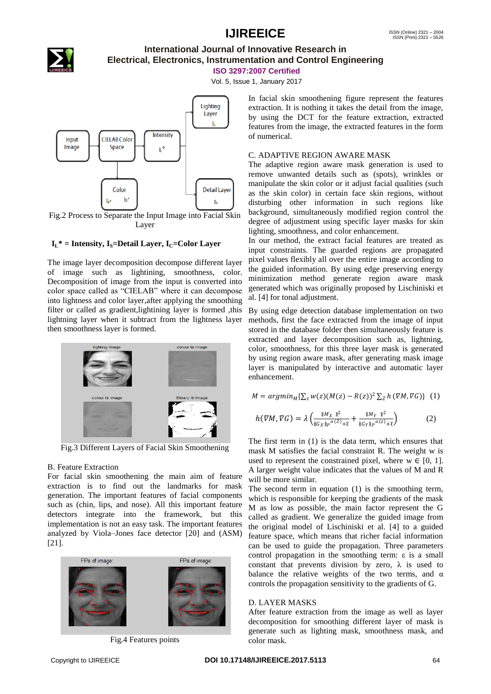

### **International Journal of Innovative Research in Electrical, Electronics, Instrumentation and Control Engineering**

**ISO 3297:2007 Certified**

Vol. 5, Issue 1, January 2017



Layer

#### $I_L^*$  = Intensity,  $I_S$ =Detail Layer,  $I_C$ =Color Layer

The image layer decomposition decompose different layer of image such as lightining, smoothness, color. Decomposition of image from the input is converted into color space called as "CIELAB" where it can decompose into lightness and color layer,after applying the smoothing filter or called as gradient,lightining layer is formed ,this lightning layer when it subtract from the lightness layer then smoothness layer is formed.



Fig.3 Different Layers of Facial Skin Smoothening

#### B. Feature Extraction

For facial skin smoothening the main aim of feature extraction is to find out the landmarks for mask generation. The important features of facial components such as (chin, lips, and nose). All this important feature detectors integrate into the framework, but this implementation is not an easy task. The important features analyzed by Viola–Jones face detector [20] and (ASM) [21].



Fig.4 Features points

In facial skin smoothening figure represent the features extraction. It is nothing it takes the detail from the image, by using the DCT for the feature extraction, extracted features from the image, the extracted features in the form of numerical.

#### C. ADAPTIVE REGION AWARE MASK

The adaptive region aware mask generation is used to remove unwanted details such as (spots), wrinkles or manipulate the skin color or it adjust facial qualities (such as the skin color) in certain face skin regions, without disturbing other information in such regions like background, simultaneously modified region control the degree of adjustment using specific layer masks for skin lighting, smoothness, and color enhancement.

In our method, the extract facial features are treated as input constraints. The guarded regions are propagated pixel values flexibly all over the entire image according to the guided information. By using edge preserving energy minimization method generate region aware mask generated which was originally proposed by Lischiniski et al. [4] for tonal adjustment.

By using edge detection database implementation on two methods, first the face extracted from the image of input stored in the database folder then simultaneously feature is extracted and layer decomposition such as, lightning, color, smoothness, for this three layer mask is generated by using region aware mask, after generating mask image layer is manipulated by interactive and automatic layer enhancement.

$$
M = argmin_M \{ \sum_z w(z) (M(z) - R(z))^2 \sum_z h \, (\nabla M, \nabla G) \} \tag{1}
$$

$$
h(\nabla M, \nabla G) = \lambda \left( \frac{\|M_X\|^2}{\|G_X\|_p^{\alpha(Z)} + \varepsilon} + \frac{\|M_Y\|^2}{\|G_Y\|_p^{\alpha(Z)} + \varepsilon} \right) \tag{2}
$$

The first term in (1) is the data term, which ensures that mask M satisfies the facial constraint R. The weight w is used to represent the constrained pixel, where  $w \in [0, 1]$ . A larger weight value indicates that the values of M and R will be more similar.

The second term in equation (1) is the smoothing term, which is responsible for keeping the gradients of the mask M as low as possible, the main factor represent the G called as gradient. We generalize the guided image from the original model of Lischiniski et al. [4] to a guided feature space, which means that richer facial information can be used to guide the propagation. Three parameters control propagation in the smoothing term: ε is a small constant that prevents division by zero,  $\lambda$  is used to balance the relative weights of the two terms, and  $\alpha$ controls the propagation sensitivity to the gradients of G.

#### D. LAYER MASKS

After feature extraction from the image as well as layer decomposition for smoothing different layer of mask is generate such as lighting mask, smoothness mask, and color mask.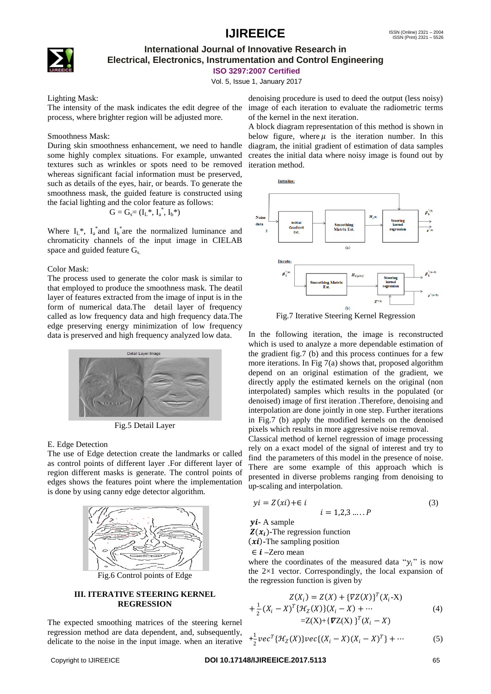### **International Journal of Innovative Research in Electrical, Electronics, Instrumentation and Control Engineering**

**ISO 3297:2007 Certified**

Vol. 5, Issue 1, January 2017

Lighting Mask:

The intensity of the mask indicates the edit degree of the process, where brighter region will be adjusted more.

#### Smoothness Mask:

During skin smoothness enhancement, we need to handle some highly complex situations. For example, unwanted textures such as wrinkles or spots need to be removed whereas significant facial information must be preserved, such as details of the eyes, hair, or beards. To generate the smoothness mask, the guided feature is constructed using the facial lighting and the color feature as follows:

$$
G=G_s\!\!=\left(I_L{}^*,\,I_a{}^*,\,I_b{}^*\right)
$$

Where  $I_L^*$ ,  $I_a^*$  and  $I_b^*$  are the normalized luminance and chromaticity channels of the input image in CIELAB space and guided feature G<sub>s</sub>.

#### Color Mask:

The process used to generate the color mask is similar to that employed to produce the smoothness mask. The deatil layer of features extracted from the image of input is in the form of numerical data.The detail layer of frequency called as low frequency data and high frequency data.The edge preserving energy minimization of low frequency data is preserved and high frequency analyzed low data.



Fig.5 Detail Layer

#### E. Edge Detection

The use of Edge detection create the landmarks or called as control points of different layer .For different layer of region different masks is generate. The control points of edges shows the features point where the implementation is done by using canny edge detector algorithm.



#### **III. ITERATIVE STEERING KERNEL REGRESSION**

The expected smoothing matrices of the steering kernel regression method are data dependent, and, subsequently, delicate to the noise in the input image. when an iterative

denoising procedure is used to deed the output (less noisy) image of each iteration to evaluate the radiometric terms of the kernel in the next iteration.

A block diagram representation of this method is shown in below figure, where  $\mu$  is the iteration number. In this diagram, the initial gradient of estimation of data samples creates the initial data where noisy image is found out by iteration method.



Fig.7 Iterative Steering Kernel Regression

In the following iteration, the image is reconstructed which is used to analyze a more dependable estimation of the gradient fig.7 (b) and this process continues for a few more iterations. In Fig 7(a) shows that, proposed algorithm depend on an original estimation of the gradient, we directly apply the estimated kernels on the original (non interpolated) samples which results in the populated (or denoised) image of first iteration .Therefore, denoising and interpolation are done jointly in one step. Further iterations in Fig.7 (b) apply the modified kernels on the denoised pixels which results in more aggressive noise removal.

Classical method of kernel regression of image processing rely on a exact model of the signal of interest and try to find the parameters of this model in the presence of noise. There are some example of this approach which is presented in diverse problems ranging from denoising to up-scaling and interpolation.

$$
yi = Z(xi) + \in i \t i = 1, 2, 3, ..., P \t (3)
$$

**-** A sample  $Z(x_i)$ -The regression function  $(x_i)$ -The sampling position

∈ **–**Zero mean

where the coordinates of the measured data " $v_i$ " is now the 2×1 vector. Correspondingly, the local expansion of the regression function is given by

$$
Z(X_i) = Z(X) + \{TZ(X)\}^T(X_i - X)
$$
  
+  $\frac{1}{2}(X_i - X)^T\{TZ(X)\}(X_i - X) + \cdots$   
=  $Z(X) + \{TZ(X)\}^T(X_i - X)$  (4)

$$
+\frac{1}{2}vec^{T}\lbrace \mathcal{H}_{Z}(X)\rbrace vec\lbrace (X_{i}-X)(X_{i}-X)^{T}\rbrace +\cdots
$$
 (5)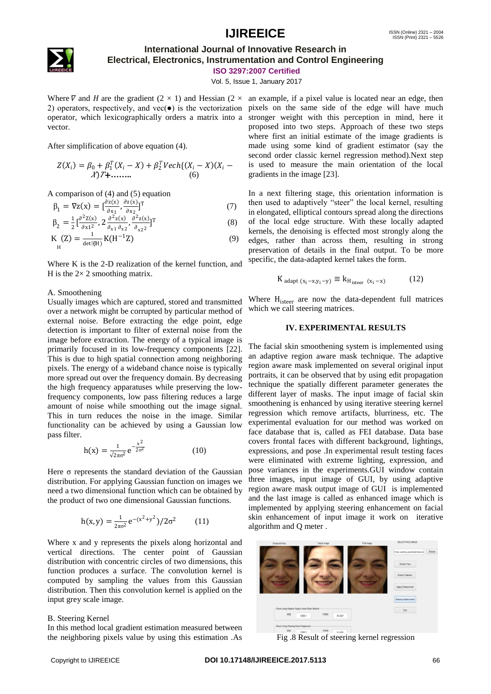

### **International Journal of Innovative Research in Electrical, Electronics, Instrumentation and Control Engineering**

**ISO 3297:2007 Certified**

Vol. 5, Issue 1, January 2017

vector.

After simplification of above equation (4).

$$
Z(X_i) = \beta_0 + \beta_1^T(X_i - X) + \beta_2^T Vech{ (X_i - X) (X_i - X) T + \dots \dots \dots } (6)
$$

A comparison of (4) and (5) equation

$$
\beta_1 = \nabla z(\mathbf{x}) = \left[\frac{\partial z(\mathbf{x})}{\partial x_1}, \frac{\partial z(\mathbf{x})}{\partial x_2}\right]^\mathrm{T} \tag{7}
$$

$$
\beta_2 = \frac{1}{2} \left[ \frac{\partial^2 Z(x)}{\partial x_1^2}, 2 \frac{\partial^2 Z(x)}{\partial x_1 \partial x_2}, \frac{\partial^2 Z(x)}{\partial x_2^2} \right]^T
$$
 (8)

$$
K_{\mathrm{H}}(Z) = \frac{1}{\det(\mathbb{H})} K(H^{-1}Z) \tag{9}
$$

Where K is the 2-D realization of the kernel function, and H is the  $2 \times 2$  smoothing matrix.

#### A. Smoothening

Usually images which are captured, stored and transmitted over a network might be corrupted by particular method of external noise. Before extracting the edge point, edge detection is important to filter of external noise from the image before extraction. The energy of a typical image is primarily focused in its low-frequency components [22]. This is due to high spatial connection among neighboring pixels. The energy of a wideband chance noise is typically more spread out over the frequency domain. By decreasing the high frequency apparatuses while preserving the lowfrequency components, low pass filtering reduces a large amount of noise while smoothing out the image signal. This in turn reduces the noise in the image. Similar functionality can be achieved by using a Gaussian low pass filter.

$$
h(x) = \frac{1}{\sqrt{2\pi\sigma^2}} e^{-\frac{x^2}{2\sigma^2}}
$$
 (10)

Here σ represents the standard deviation of the Gaussian distribution. For applying Gaussian function on images we need a two dimensional function which can be obtained by the product of two one dimensional Gaussian functions.

$$
h(x,y) = \frac{1}{2\pi\sigma^2} e^{-(x^2+y^2)}/2\sigma^2
$$
 (11)

Where x and y represents the pixels along horizontal and vertical directions. The center point of Gaussian distribution with concentric circles of two dimensions, this function produces a surface. The convolution kernel is computed by sampling the values from this Gaussian distribution. Then this convolution kernel is applied on the input grey scale image.

#### B. Steering Kernel

In this method local gradient estimation measured between the neighboring pixels value by using this estimation .As

Where  $\nabla$  and  $H$  are the gradient (2  $\times$  1) and Hessian (2  $\times$  an example, if a pixel value is located near an edge, then 2) operators, respectively, and  $vec(\bullet)$  is the vectorization pixels on the same side of the edge will have much operator, which lexicographically orders a matrix into a stronger weight with this perception in mind, here it proposed into two steps. Approach of these two steps where first an initial estimate of the image gradients is made using some kind of gradient estimator (say the second order classic kernel regression method).Next step is used to measure the main orientation of the local gradients in the image [23].

> In a next filtering stage, this orientation information is then used to adaptively "steer" the local kernel, resulting in elongated, elliptical contours spread along the directions of the local edge structure. With these locally adapted kernels, the denoising is effected most strongly along the edges, rather than across them, resulting in strong preservation of details in the final output. To be more specific, the data-adapted kernel takes the form.

$$
K_{\text{adapt}(x_i - x, y_i - y)} \equiv k_{H_{\text{isteer}}(x_i - x)}
$$
 (12)

Where H<sub>isteer</sub> are now the data-dependent full matrices which we call steering matrices.

#### **IV. EXPERIMENTAL RESULTS**

The facial skin smoothening system is implemented using an adaptive region aware mask technique. The adaptive region aware mask implemented on several original input portraits, it can be observed that by using edit propagation technique the spatially different parameter generates the different layer of masks. The input image of facial skin smoothening is enhanced by using iterative steering kernel regression which remove artifacts, blurriness, etc. The experimental evaluation for our method was worked on face database that is, called as FEI database. Data base covers frontal faces with different background, lightings, expressions, and pose .In experimental result testing faces were eliminated with extreme lighting, expression, and pose variances in the experiments.GUI window contain three images, input image of GUI, by using adaptive region aware mask output image of GUI is implemented and the last image is called as enhanced image which is implemented by applying steering enhancement on facial skin enhancement of input image it work on iterative algorithm and Q meter .



Fig .8 Result of steering kernel regression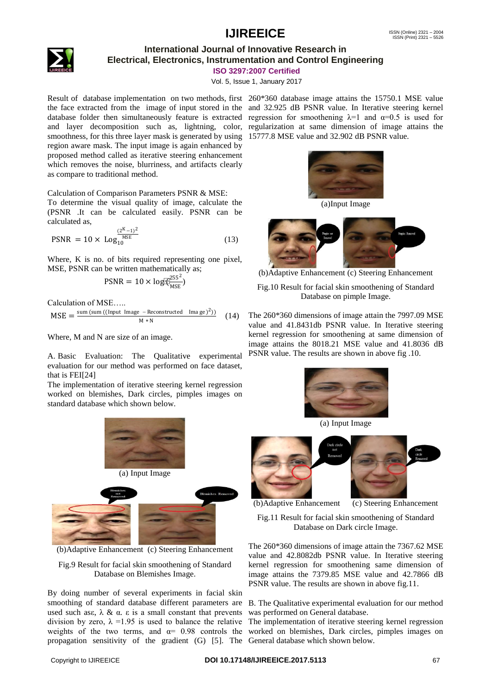

### **International Journal of Innovative Research in Electrical, Electronics, Instrumentation and Control Engineering**

**ISO 3297:2007 Certified**

Vol. 5, Issue 1, January 2017

Result of database implementation on two methods, first 260\*360 database image attains the 15750.1 MSE value the face extracted from the image of input stored in the and 32.925 dB PSNR value. In Iterative steering kernel database folder then simultaneously feature is extracted regression for smoothening  $\lambda=1$  and  $\alpha=0.5$  is used for and layer decomposition such as, lightning, color, regularization at same dimension of image attains the smoothness, for this three layer mask is generated by using 15777.8 MSE value and 32.902 dB PSNR value. region aware mask. The input image is again enhanced by proposed method called as iterative steering enhancement which removes the noise, blurriness, and artifacts clearly as compare to traditional method.

Calculation of Comparison Parameters PSNR & MSE:

To determine the visual quality of image, calculate the (PSNR .It can be calculated easily. PSNR can be calculated as,

$$
PSNR = 10 \times \log_{10}^{\frac{(2^{K}-1)^{2}}{MSE}}
$$
 (13)

Where, K is no. of bits required representing one pixel, MSE, PSNR can be written mathematically as;

$$
PSNR = 10 \times log(\hat{\xi}_{MSE}^{255^2})
$$

Calculation of MSE…..

$$
MSE = \frac{\text{sum (sum ((Input Image - Reconstructed Image)^2))}}{M*N}
$$
 (14)

Where, M and N are size of an image.

A. Basic Evaluation: The Qualitative experimental evaluation for our method was performed on face dataset, that is FEI[24]

The implementation of iterative steering kernel regression worked on blemishes, Dark circles, pimples images on standard database which shown below.



(b)Adaptive Enhancement (c) Steering Enhancement

Fig.9 Result for facial skin smoothening of Standard Database on Blemishes Image.

By doing number of several experiments in facial skin smoothing of standard database different parameters are used such asε,  $\lambda$  & α. ε is a small constant that prevents propagation sensitivity of the gradient (G) [5]. The General database which shown below.



(a)Input Image



(b)Adaptive Enhancement (c) Steering Enhancement

Fig.10 Result for facial skin smoothening of Standard Database on pimple Image.

The 260\*360 dimensions of image attain the 7997.09 MSE value and 41.8431db PSNR value. In Iterative steering kernel regression for smoothening at same dimension of image attains the 8018.21 MSE value and 41.8036 dB PSNR value. The results are shown in above fig .10.



(a) Input Image



(b)Adaptive Enhancement (c) Steering Enhancement

Fig.11 Result for facial skin smoothening of Standard Database on Dark circle Image.

The 260\*360 dimensions of image attain the 7367.62 MSE value and 42.8082db PSNR value. In Iterative steering kernel regression for smoothening same dimension of image attains the 7379.85 MSE value and 42.7866 dB PSNR value. The results are shown in above fig.11.

B. The Qualitative experimental evaluation for our method was performed on General database.

division by zero,  $\lambda = 1.95$  is used to balance the relative The implementation of iterative steering kernel regression weights of the two terms, and  $\alpha = 0.98$  controls the worked on blemishes, Dark circles, pimples images on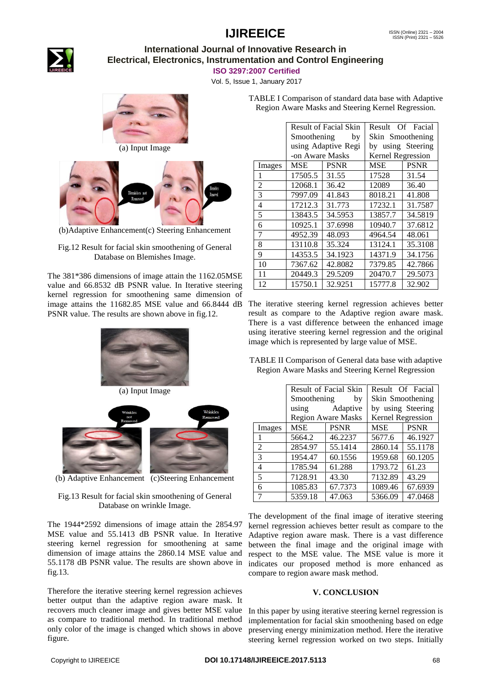

### **International Journal of Innovative Research in Electrical, Electronics, Instrumentation and Control Engineering**

**ISO 3297:2007 Certified**

Vol. 5, Issue 1, January 2017







(b)Adaptive Enhancement(c) Steering Enhancement

#### Fig.12 Result for facial skin smoothening of General Database on Blemishes Image.

The 381\*386 dimensions of image attain the 1162.05MSE value and 66.8532 dB PSNR value. In Iterative steering kernel regression for smoothening same dimension of image attains the 11682.85 MSE value and 66.8444 dB The iterative steering kernel regression achieves better PSNR value. The results are shown above in fig.12.



(b) Adaptive Enhancement (c)Steering Enhancement

Fig.13 Result for facial skin smoothening of General Database on wrinkle Image.

The 1944\*2592 dimensions of image attain the 2854.97 MSE value and 55.1413 dB PSNR value. In Iterative steering kernel regression for smoothening at same dimension of image attains the 2860.14 MSE value and 55.1178 dB PSNR value. The results are shown above in fig.13.

Therefore the iterative steering kernel regression achieves better output than the adaptive region aware mask. It recovers much cleaner image and gives better MSE value as compare to traditional method. In traditional method only color of the image is changed which shows in above figure.

| TABLE I Comparison of standard data base with Adaptive |  |
|--------------------------------------------------------|--|
| Region Aware Masks and Steering Kernel Regression.     |  |

|        | Result of Facial Skin |             | Result<br>Of Facial |             |
|--------|-----------------------|-------------|---------------------|-------------|
|        | Smoothening<br>by     |             | Skin Smoothening    |             |
|        | using Adaptive Regi   |             | by using Steering   |             |
|        | -on Aware Masks       |             | Kernel Regression   |             |
| Images | MSE                   | <b>PSNR</b> | <b>MSE</b>          | <b>PSNR</b> |
| 1      | 17505.5               | 31.55       | 17528               | 31.54       |
| 2      | 12068.1               | 36.42       | 12089               | 36.40       |
| 3      | 7997.09               | 41.843      | 8018.21             | 41.808      |
| 4      | 17212.3               | 31.773      | 17232.1             | 31.7587     |
| 5      | 13843.5               | 34.5953     | 13857.7             | 34.5819     |
| 6      | 10925.1               | 37.6998     | 10940.7             | 37.6812     |
| 7      | 4952.39               | 48.093      | 4964.54             | 48.061      |
| 8      | 13110.8               | 35.324      | 13124.1             | 35.3108     |
| 9      | 14353.5               | 34.1923     | 14371.9             | 34.1756     |
| 10     | 7367.62               | 42.8082     | 7379.85             | 42.7866     |
| 11     | 20449.3               | 29.5209     | 20470.7             | 29.5073     |
| 12     | 15750.1               | 32.9251     | 15777.8             | 32.902      |

result as compare to the Adaptive region aware mask. There is a vast difference between the enhanced image using iterative steering kernel regression and the original image which is represented by large value of MSE.

TABLE II Comparison of General data base with adaptive Region Aware Masks and Steering Kernel Regression

|                |                           | Result of Facial Skin | Result Of Facial  |             |
|----------------|---------------------------|-----------------------|-------------------|-------------|
|                | Smoothening by            |                       | Skin Smoothening  |             |
|                | using Adaptive            |                       | by using Steering |             |
|                | <b>Region Aware Masks</b> |                       | Kernel Regression |             |
| Images         | <b>MSE</b>                | <b>PSNR</b>           | MSE               | <b>PSNR</b> |
|                | 5664.2                    | 46.2237               | 5677.6            | 46.1927     |
| 2              | 2854.97                   | 55.1414               | 2860.14           | 55.1178     |
| $\mathcal{R}$  | 1954.47                   | 60.1556               | 1959.68           | 60.1205     |
| $\overline{4}$ | 1785.94                   | 61.288                | 1793.72           | 61.23       |
| 5              | 7128.91                   | 43.30                 | 7132.89           | 43.29       |
| 6              | 1085.83                   | 67.7373               | 1089.46           | 67.6939     |
|                | 5359.18                   | 47.063                | 5366.09           | 47.0468     |

The development of the final image of iterative steering kernel regression achieves better result as compare to the Adaptive region aware mask. There is a vast difference between the final image and the original image with respect to the MSE value. The MSE value is more it indicates our proposed method is more enhanced as compare to region aware mask method.

#### **V. CONCLUSION**

In this paper by using iterative steering kernel regression is implementation for facial skin smoothening based on edge preserving energy minimization method. Here the iterative steering kernel regression worked on two steps. Initially